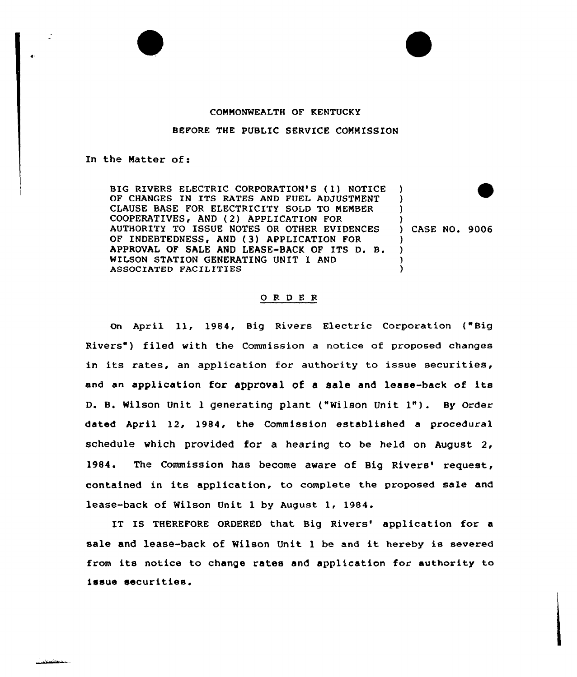## CONNONWEALTH OF KENTUCKY

## BEFORE THE PUBlIC SERVICE COMMISSION

## In the Matter of:

BIG RIVERS ELECTRIC CORPORATION'S (1) NOTICE OF CHANGES IN ITS RATES AND FUEL ADJUSTMENT CLAUSE BASE FOR ELECTRICITY SOLD TO NENBER COOPERATIVES, AND (2) APPLICATION FOR AUTHORITY TO ISSUE NOTES OR OTHER EVIDENCES OF INDEBTEDNESS, AND (3) APPLICATION FOR APPROVAL OF SALE AND LEASE-BACK OF ITS D. B. WILSON STATION GENERATING UNIT 1 AND ASSOCIATED FACILITIES ) ) ) ) ) CASE NO. 9006 ) ) ) )

## ORDER

On April <sup>1</sup>1, 1984, Big Rivers Electric Corporation ("Big Rivers") filed with the Commission a notice of proposed changes in its rates, an application for authority to issue securities, and an application for approval of <sup>a</sup> sale and lease-back of its D. B. Wilson Unit <sup>1</sup> generating plant ("Wilson Unit 1"). By Order dated April 12, 1984, the Commission established a procedural schedule which provided for a hearing to be held on August 2, 1984. The Commission has become aware of Big Rivers' request, contained in its application, to complete the proposed sale and lease-back of Wilson Unit <sup>1</sup> by August 1, 1984.

IT IS THEREFORE ORDERED that Big Rivers' application for a sale and lease-back of Wilson Unit 1 be and it hereby is severed from its notice to change rates and application for authority to issue securities.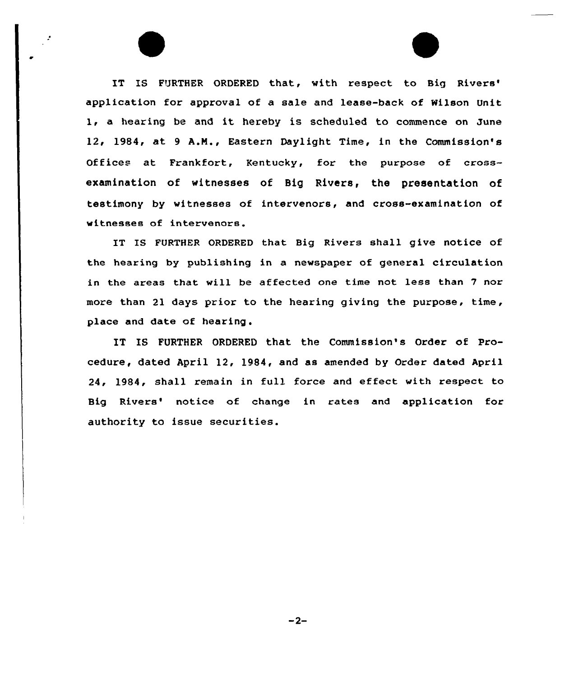IT IS FURTHER ORDERED that, with respect to Big Rivers' application for approval of a sale and lease-back of Wilson Unit 1, a hearing be and it hereby is scheduled to commence on June 12, 1984, at <sup>9</sup> A.N., Eastern Daylight Time, in the Commission's Offices at Frankfort, Kentucky, for the purpose of crossexamination of witnesses of Big Rivers, the presentation of testimony by witnesses of intervenors, and cross-examination of witnesses of intervenors.

IT IS FURTHER ORDERED that Big Rivers shall give notice of the hearing by publishing in a newspaper of general circulation in the areas that will be affected one time not less than 7 nor more than 21 days prior to the hearing giving the purpose, time, place and date of hearing.

IT IS FURTHER ORDERED that the Commission's Order of Procedure, dated April 12, 1984, and as amended by Order dated April 24, 1984, shall remain in full force and effect with respect to Big Rivers' notice of change in rates and application for authority to issue securities.

 $-2-$